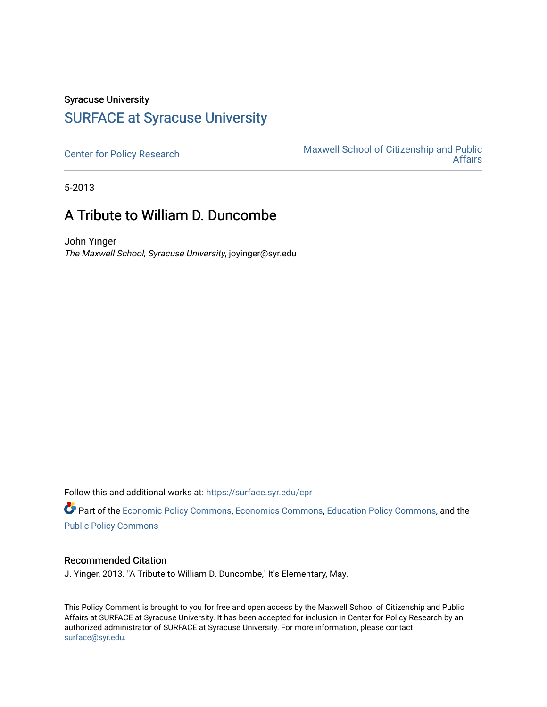# Syracuse University [SURFACE at Syracuse University](https://surface.syr.edu/)

[Center for Policy Research](https://surface.syr.edu/cpr) Maxwell School of Citizenship and Public<br>Affairs [Affairs](https://surface.syr.edu/maxwell) 

5-2013

# A Tribute to William D. Duncombe

John Yinger The Maxwell School, Syracuse University, joyinger@syr.edu

Follow this and additional works at: [https://surface.syr.edu/cpr](https://surface.syr.edu/cpr?utm_source=surface.syr.edu%2Fcpr%2F369&utm_medium=PDF&utm_campaign=PDFCoverPages) 

Part of the [Economic Policy Commons](http://network.bepress.com/hgg/discipline/1025?utm_source=surface.syr.edu%2Fcpr%2F369&utm_medium=PDF&utm_campaign=PDFCoverPages), [Economics Commons,](http://network.bepress.com/hgg/discipline/340?utm_source=surface.syr.edu%2Fcpr%2F369&utm_medium=PDF&utm_campaign=PDFCoverPages) [Education Policy Commons](http://network.bepress.com/hgg/discipline/1026?utm_source=surface.syr.edu%2Fcpr%2F369&utm_medium=PDF&utm_campaign=PDFCoverPages), and the [Public Policy Commons](http://network.bepress.com/hgg/discipline/400?utm_source=surface.syr.edu%2Fcpr%2F369&utm_medium=PDF&utm_campaign=PDFCoverPages)

#### Recommended Citation

J. Yinger, 2013. "A Tribute to William D. Duncombe," It's Elementary, May.

This Policy Comment is brought to you for free and open access by the Maxwell School of Citizenship and Public Affairs at SURFACE at Syracuse University. It has been accepted for inclusion in Center for Policy Research by an authorized administrator of SURFACE at Syracuse University. For more information, please contact [surface@syr.edu.](mailto:surface@syr.edu)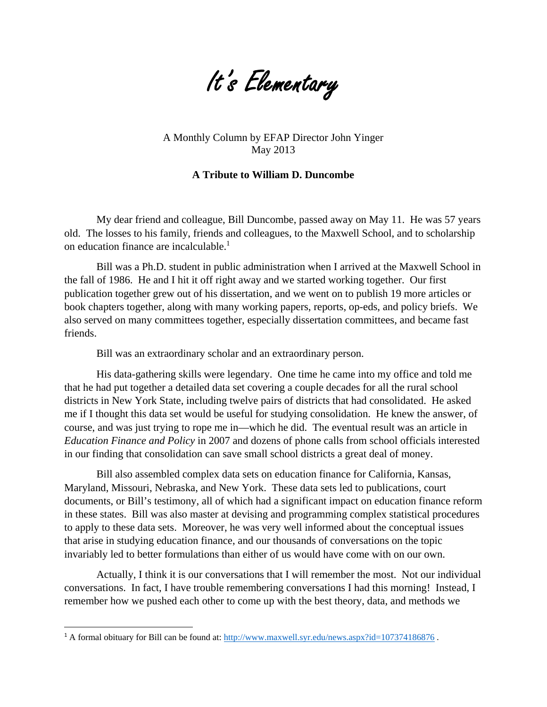

A Monthly Column by EFAP Director John Yinger May 2013

### **A Tribute to William D. Duncombe**

My dear friend and colleague, Bill Duncombe, passed away on May 11. He was 57 years old. The losses to his family, friends and colleagues, to the Maxwell School, and to scholarship on education finance are incalculable.<sup>1</sup>

Bill was a Ph.D. student in public administration when I arrived at the Maxwell School in the fall of 1986. He and I hit it off right away and we started working together. Our first publication together grew out of his dissertation, and we went on to publish 19 more articles or book chapters together, along with many working papers, reports, op-eds, and policy briefs. We also served on many committees together, especially dissertation committees, and became fast friends.

Bill was an extraordinary scholar and an extraordinary person.

His data-gathering skills were legendary. One time he came into my office and told me that he had put together a detailed data set covering a couple decades for all the rural school districts in New York State, including twelve pairs of districts that had consolidated. He asked me if I thought this data set would be useful for studying consolidation. He knew the answer, of course, and was just trying to rope me in—which he did. The eventual result was an article in *Education Finance and Policy* in 2007 and dozens of phone calls from school officials interested in our finding that consolidation can save small school districts a great deal of money.

Bill also assembled complex data sets on education finance for California, Kansas, Maryland, Missouri, Nebraska, and New York. These data sets led to publications, court documents, or Bill's testimony, all of which had a significant impact on education finance reform in these states. Bill was also master at devising and programming complex statistical procedures to apply to these data sets. Moreover, he was very well informed about the conceptual issues that arise in studying education finance, and our thousands of conversations on the topic invariably led to better formulations than either of us would have come with on our own.

Actually, I think it is our conversations that I will remember the most. Not our individual conversations. In fact, I have trouble remembering conversations I had this morning! Instead, I remember how we pushed each other to come up with the best theory, data, and methods we

<sup>&</sup>lt;sup>1</sup> A formal obituary for Bill can be found at: http://www.maxwell.syr.edu/news.aspx?id=107374186876.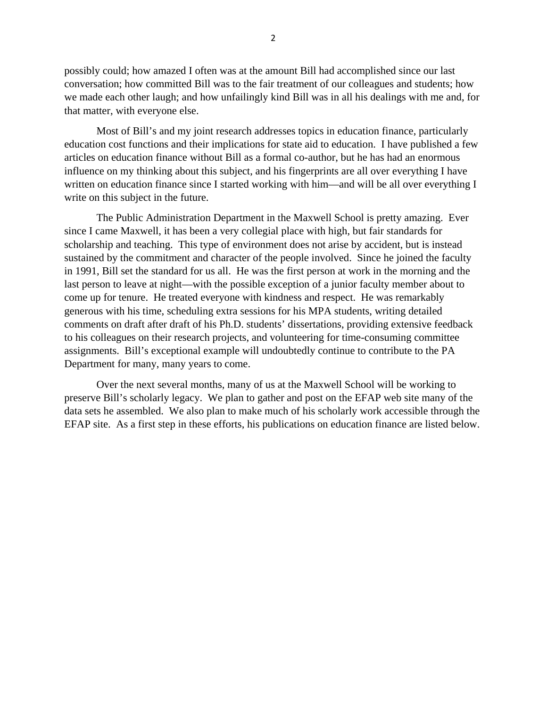possibly could; how amazed I often was at the amount Bill had accomplished since our last conversation; how committed Bill was to the fair treatment of our colleagues and students; how we made each other laugh; and how unfailingly kind Bill was in all his dealings with me and, for that matter, with everyone else.

Most of Bill's and my joint research addresses topics in education finance, particularly education cost functions and their implications for state aid to education. I have published a few articles on education finance without Bill as a formal co-author, but he has had an enormous influence on my thinking about this subject, and his fingerprints are all over everything I have written on education finance since I started working with him—and will be all over everything I write on this subject in the future.

The Public Administration Department in the Maxwell School is pretty amazing. Ever since I came Maxwell, it has been a very collegial place with high, but fair standards for scholarship and teaching. This type of environment does not arise by accident, but is instead sustained by the commitment and character of the people involved. Since he joined the faculty in 1991, Bill set the standard for us all. He was the first person at work in the morning and the last person to leave at night—with the possible exception of a junior faculty member about to come up for tenure. He treated everyone with kindness and respect. He was remarkably generous with his time, scheduling extra sessions for his MPA students, writing detailed comments on draft after draft of his Ph.D. students' dissertations, providing extensive feedback to his colleagues on their research projects, and volunteering for time-consuming committee assignments. Bill's exceptional example will undoubtedly continue to contribute to the PA Department for many, many years to come.

Over the next several months, many of us at the Maxwell School will be working to preserve Bill's scholarly legacy. We plan to gather and post on the EFAP web site many of the data sets he assembled. We also plan to make much of his scholarly work accessible through the EFAP site. As a first step in these efforts, his publications on education finance are listed below.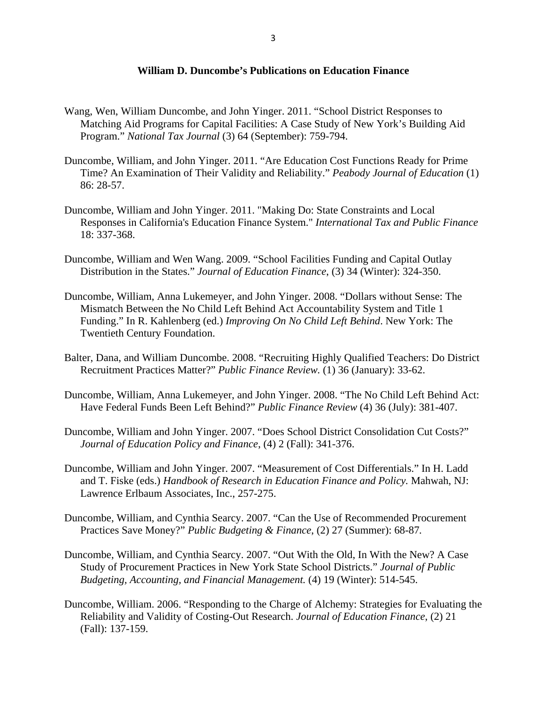### **William D. Duncombe's Publications on Education Finance**

- Wang, Wen, William Duncombe, and John Yinger. 2011. "School District Responses to Matching Aid Programs for Capital Facilities: A Case Study of New York's Building Aid Program." *National Tax Journal* (3) 64 (September): 759-794.
- Duncombe, William, and John Yinger. 2011. "Are Education Cost Functions Ready for Prime Time? An Examination of Their Validity and Reliability." *Peabody Journal of Education* (1) 86: 28-57.
- Duncombe, William and John Yinger. 2011. "Making Do: State Constraints and Local Responses in California's Education Finance System." *International Tax and Public Finance*  18: 337-368.
- Duncombe, William and Wen Wang. 2009. "School Facilities Funding and Capital Outlay Distribution in the States." *Journal of Education Finance*, (3) 34 (Winter): 324-350.
- Duncombe, William, Anna Lukemeyer, and John Yinger. 2008. "Dollars without Sense: The Mismatch Between the No Child Left Behind Act Accountability System and Title 1 Funding." In R. Kahlenberg (ed.) *Improving On No Child Left Behind*. New York: The Twentieth Century Foundation.
- Balter, Dana, and William Duncombe. 2008. "Recruiting Highly Qualified Teachers: Do District Recruitment Practices Matter?" *Public Finance Review.* (1) 36 (January): 33-62.
- Duncombe, William, Anna Lukemeyer, and John Yinger. 2008. "The No Child Left Behind Act: Have Federal Funds Been Left Behind?" *Public Finance Review* (4) 36 (July): 381-407.
- Duncombe, William and John Yinger. 2007. "Does School District Consolidation Cut Costs?" *Journal of Education Policy and Finance*, (4) 2 (Fall): 341-376.
- Duncombe, William and John Yinger. 2007. "Measurement of Cost Differentials." In H. Ladd and T. Fiske (eds.) *Handbook of Research in Education Finance and Policy.* Mahwah, NJ: Lawrence Erlbaum Associates, Inc., 257-275.
- Duncombe, William, and Cynthia Searcy. 2007. "Can the Use of Recommended Procurement Practices Save Money?" *Public Budgeting & Finance*, (2) 27 (Summer): 68-87*.*
- Duncombe, William, and Cynthia Searcy. 2007. "Out With the Old, In With the New? A Case Study of Procurement Practices in New York State School Districts." *Journal of Public Budgeting, Accounting, and Financial Management.* (4) 19 (Winter): 514-545.
- Duncombe, William. 2006. "Responding to the Charge of Alchemy: Strategies for Evaluating the Reliability and Validity of Costing-Out Research. *Journal of Education Finance*, (2) 21 (Fall): 137-159.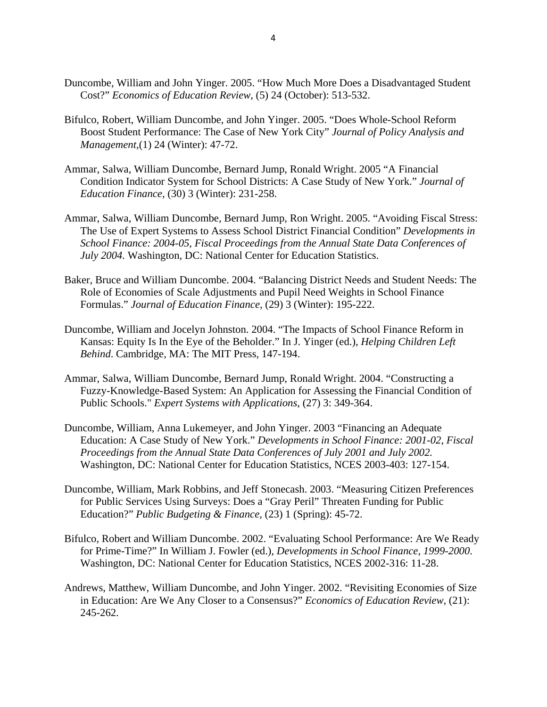- Duncombe, William and John Yinger. 2005. "How Much More Does a Disadvantaged Student Cost?" *Economics of Education Review*, (5) 24 (October): 513-532.
- Bifulco, Robert, William Duncombe, and John Yinger. 2005. "Does Whole-School Reform Boost Student Performance: The Case of New York City" *Journal of Policy Analysis and Management*,(1) 24 (Winter): 47-72.
- Ammar, Salwa, William Duncombe, Bernard Jump, Ronald Wright. 2005 "A Financial Condition Indicator System for School Districts: A Case Study of New York." *Journal of Education Finance*, (30) 3 (Winter): 231-258.
- Ammar, Salwa, William Duncombe, Bernard Jump, Ron Wright. 2005. "Avoiding Fiscal Stress: The Use of Expert Systems to Assess School District Financial Condition" *Developments in School Finance: 2004-05, Fiscal Proceedings from the Annual State Data Conferences of July 2004.* Washington, DC: National Center for Education Statistics.
- Baker, Bruce and William Duncombe. 2004. "Balancing District Needs and Student Needs: The Role of Economies of Scale Adjustments and Pupil Need Weights in School Finance Formulas." *Journal of Education Finance,* (29) 3 (Winter): 195-222.
- Duncombe, William and Jocelyn Johnston. 2004. "The Impacts of School Finance Reform in Kansas: Equity Is In the Eye of the Beholder." In J. Yinger (ed.), *Helping Children Left Behind*. Cambridge, MA: The MIT Press, 147-194.
- Ammar, Salwa, William Duncombe, Bernard Jump, Ronald Wright. 2004. "Constructing a Fuzzy-Knowledge-Based System: An Application for Assessing the Financial Condition of Public Schools." *Expert Systems with Applications*, (27) 3: 349-364.
- Duncombe, William, Anna Lukemeyer, and John Yinger. 2003 "Financing an Adequate Education: A Case Study of New York." *Developments in School Finance: 2001-02, Fiscal Proceedings from the Annual State Data Conferences of July 2001 and July 2002.*  Washington, DC: National Center for Education Statistics, NCES 2003-403: 127-154.
- Duncombe, William, Mark Robbins, and Jeff Stonecash. 2003. "Measuring Citizen Preferences for Public Services Using Surveys: Does a "Gray Peril" Threaten Funding for Public Education?" *Public Budgeting & Finance,* (23) 1 (Spring): 45-72.
- Bifulco, Robert and William Duncombe. 2002. "Evaluating School Performance: Are We Ready for Prime-Time?" In William J. Fowler (ed.), *Developments in School Finance, 1999-2000*. Washington, DC: National Center for Education Statistics, NCES 2002-316: 11-28.
- Andrews, Matthew, William Duncombe, and John Yinger. 2002. "Revisiting Economies of Size in Education: Are We Any Closer to a Consensus?" *Economics of Education Review*, (21): 245-262.